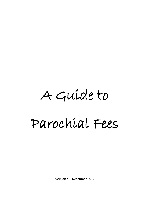# A Guide to Parochial Fees

Version 4 – December 2017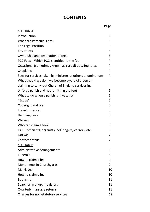# **CONTENTS**

**Page** to the contract of the contract of the contract of the contract of the contract of the contract of the contract of the contract of the contract of the contract of the contract of the contract of the contract of the

| <b>SECTION A</b>                                            |                |
|-------------------------------------------------------------|----------------|
| Introduction                                                | 2              |
| <b>What are Parochial Fees?</b>                             | $\overline{2}$ |
| The Legal Position                                          | 2              |
| <b>Key Points</b>                                           | 3              |
| Ownership and destination of fees                           | 3              |
| PCC Fees - Which PCC is entitled to the fee                 | 4              |
| Occasional (sometimes known as casual) duty fee rates       | 4              |
| Chaplains                                                   | 4              |
| Fees for services taken by ministers of other denominations | 4              |
| What should we do if we become aware of a person            |                |
| claiming to carry out Church of England services in,        |                |
| or for, a parish and not remitting the fee?                 | 5              |
| What to do when a parish is in vacancy                      | 5              |
| "Extras"                                                    | 5              |
| Copyright and fees                                          | 5              |
| <b>Travel Expenses</b>                                      | 6              |
| <b>Handling Fees</b>                                        | 6              |
| <b>Waivers</b>                                              |                |
| Who can claim a fee?                                        | 6              |
| TAX – officiants, organists, bell ringers, vergers, etc.    | 6              |
| <b>Gift Aid</b>                                             | 7              |
| Contact details                                             | 7              |
| <b>SECTION B</b>                                            |                |
| <b>Administrative Arrangements</b>                          | 8              |
| <b>Funerals</b>                                             | 8              |
| How to claim a fee                                          | 9              |
| Monuments in Churchyards                                    | 9              |
| <b>Marriages</b>                                            | 10             |
| How to claim a fee                                          | 10             |
| <b>Baptisms</b>                                             | 11             |
| Searches in church registers                                | 11             |
| Quarterly marriage returns                                  | 11             |
| Charges for non-statutory services                          | 12             |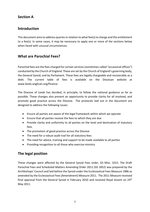#### **Section A**

## **Introduction**

This document aims to address queries in relation to what fee(s) to charge and the entitlement to a fee(s). In some cases, it may be necessary to apply one or more of the sections below when faced with unusual circumstances.

#### **What are Parochial Fees?**

Parochial fees are the fees charged for certain services (sometimes called "occasional offices") conducted by the Church of England. These are set by the Church of England's governing body, the General Synod, and by Parliament. These fees are legally chargeable and recoverable as a debt. The current table of fees is available on the Diocesan website at www.leeds.anglican.org/finance.

The Diocese of Leeds has decided, in principle, to follow the national guidance as far as possible. These changes also present an opportunity to provide clarity for all involved, and promote good practice across the Diocese. The protocols laid out in the document are designed to address the following issues:

- Ensure all parties are aware of the legal framework within which we operate
- Ensure that all parties receive the fees to which they are due
- Provide clarity and uniformity to all parties on the level and destination of statutory fees
- The promotion of good practice across the Diocese
- The need for a robust audit trail for all statutory fees
- The need for advice, training and support to be made available to all parties
- Providing recognition to all those who exercise ministry

## **The legal position**

These changes were affected by the General Synod Fees order, GS Misc. 1015. The Draft Parochial Fees and Scheduled Matters Amending Order 2012 (GS 1852) was prepared by the Archbishops' Council and laid before the Synod under the Ecclesiastical Fees Measure 1986 as amended by the Ecclesiastical Fees (Amendment) Measure 2011. The 2011 Measure received final approval from the General Synod in February 2010 and received Royal Assent on 24<sup>th</sup> May 2011.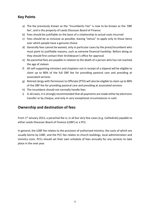#### **Key Points**

- a) The fee previously known as the "Incumbents Fee" is now to be known as the 'DBF fee', and is the property of Leeds Diocesan Board of Finance
- b) Fees should be justifiable on the basis of a relationship to actual costs incurred
- c) Fees should be as inclusive as possible, leaving "extras" to apply only to those items over which people have a genuine choice
- d) Generally fees cannot be waived, only in particular cases by the priest/incumbent who must point to justifiable reasons, such as extreme financial hardship. Before doing so they should first contact their Archdeacon's office for approval
- e) No parochial fees are payable in relation to the death of a person who has not reached the age of sixteen
- f) All self-supporting ministers and chaplains not in receipt of a stipend will be eligible to claim up to 80% of the full DBF fee for providing pastoral care and presiding at associated services
- g) Retired clergy with Permission to Officiate (PTO) will also be eligible to claim up to 80% of the DBF fee for providing pastoral care and presiding at associated services
- h) The incumbent should not normally handle fees
- i) In all cases, it is strongly recommended that all payments are made either by electronic transfer or by cheque, and only in very exceptional circumstances in cash.

#### **Ownership and destination of fees**

From  $1<sup>st</sup>$  January 2013, a parochial fee is, in all but very few cases (e.g. Cathedrals) payable to either Leeds Diocesan Board of Finance (LDBF) or a PCC.

In general, the LDBF fee relates to the provision of authorised ministry, the costs of which are usually borne by LDBF, and the PCC fee relates to church buildings, local administration and ministry costs. PCCs should set their own schedule of fees annually for any services to take place in the next year.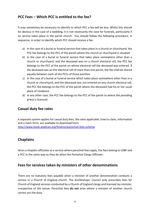#### **PCC Fees – Which PCC is entitled to the fee?**

It may sometimes be necessary to identify to which PCC a fee will be due. Whilst this should be obvious in the case of a wedding, it is not necessarily the case for funerals, particularly if no service takes place in the parish church. You should follow the following procedure, in sequence, in order to identify which PCC should receive a fee:

- a) In the case of a burial or funeral service that takes place in a church or churchyard, the PCC fee belongs to the PCC of the parish where the church or churchyard is situated
- b) In the case of a burial or funeral service that takes place somewhere other than a church or churchyard, and the deceased was on a church electoral roll, the PCC fee belongs to the PCC of the parish on whose electoral roll the deceased was entered. If the deceased was on the electoral roll of more than one parish, the fee shall be shared equally between each of the PCCs of those parishes
- c) In the case of a burial or funeral service which takes place somewhere other than in a church or churchyard, and the deceased was not entered on any church electoral roll, the PCC fee belongs to the PCC of the parish where the deceased had his or her usual place of residence
- d) In any other case, the PCC fee belongs to the PCC of the parish to where the presiding priest is licenced.

#### **Casual duty fee rates**

A separate system applies for casual duty fees, the rates applicable, how to claim, information and a claim form, are available to download from; <http://www.leeds.anglican.org/finance/parochial-fees-scheme>

#### **Chaplains**

When a chaplain officiates at a service where parochial fees apply, the fees belong to LDBF and a PCC in the same way as they do when the Parochial Clergy Officiate.

#### **Fees for services taken by ministers of other denominations**

There are no statutory fees payable when a minister of another denomination conducts a service in a Church of England church. The Archbishops' Council only prescribes fees for Church of England services conducted by a Church of England clergy and licensed lay minister, irrespective of the venue. Parochial fees **do not** arise where a minister of another church carries out the duty.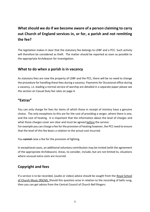# **What should we do if we become aware of a person claiming to carry out Church of England services in, or for, a parish and not remitting the fee?**

The legislation makes it clear that the statutory fee belongs to LDBF and a PCC. Such activity will therefore be considered as theft. The matter should be reported as soon as possible to the appropriate Archdeacon for investigation.

#### **What to do when a parish is in vacancy**

As statutory fees are now the property of LDBF and the PCC, there will be no need to change the procedure for handling these fees during a vacancy. Payments for Occasional office during a vacancy, i.e. leading a normal service of worship are detailed in a separate paper please see the section on Casual Duty fee rates on page 4.

#### **"Extras"**

You can only charge for fees for items of which those in receipt of ministry have a genuine choice. The only exceptions to this are for the cost of providing a verger, where there is one, and the cost of heating. It is important that the information about the level of charges and what those charges cover are clear and must be agreed before the service. For example you can charge a fee for the provision of heating however, the PCC need to ensure that the level of this fee bears a relation to the actual cost incurred.

You **cannot** raise a fee for the provision of lighting.

In exceptional cases, an additional voluntary contribution may be invited (with the agreement of the appropriate Archdeacon). Areas, to consider, include, but are not limited to, situations where unusual extra costs are incurred.

## **Copyright and fees**

If a service is to be recorded, (audio or video) advice should be sought from the Royal School of Church Music (RSCM). Should this question arise in relation to the recording of bells rung, then you can get advice from the Central Council of Church Bell Ringers.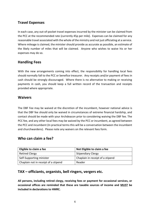#### **Travel Expenses**

In each case, any out-of-pocket travel expenses incurred by the minister can be claimed from the PCC at the recommended rate (currently 45p per mile). Expenses can be claimed for any reasonable travel associated with the whole of the ministry and not just officiating at a service. Where mileage is claimed, the minister should provide as accurate as possible, an estimate of the likely number of miles that will be claimed. Anyone who wishes to waive his or her expenses may do so.

#### **Handling Fees**

With the new arrangements coming into effect, the responsibility for handling local fees should normally fall to the PCC or benefice treasurer. Any receipts and/or payment of fees in cash should be strongly discouraged. Where there is no alternative to making or receiving payments in cash, you should keep a full written record of the transaction and receipts provided where appropriate.

#### **Waivers**

The DBF Fee may be waived at the discretion of the incumbent, however national advice is that the DBF fee should only be waived in circumstances of extreme financial hardship, and contact should be made with your Archdeacon prior to considering waiving the DBF fee. The PCC fee, and any other local fees may be waived by the PCC or incumbent, as agreed between the PCC and incumbent (In practical terms this will be a conversation between the incumbent and churchwardens). Please note any waivers on the relevant fees form.

#### **Who can claim a fee?**

| Eligible to claim a fee              | Not Eligible to claim a fee      |
|--------------------------------------|----------------------------------|
| <b>Retired Clergy</b>                | <b>Stipendiary Clergy</b>        |
| Self-Supporting minister             | Chaplain in receipt of a stipend |
| Chaplain not in receipt of a stipend | Reader                           |

#### **TAX – officiants, organists, bell ringers, vergers etc.**

**All persons, including retired clergy, receiving fees or payment for occasional services, or occasional offices are reminded that these are taxable sources of income and MUST be included in declarations to HMRC.**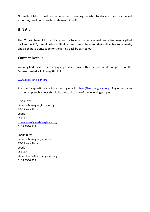Normally, HMRC would not require the officiating minister to declare their reimbursed expenses, providing there is no element of profit.

#### **Gift Aid**

The PCC will benefit further if any fees or travel expenses claimed, are subsequently gifted back to the PCC, thus allowing a gift aid claim. It must be noted that a claim has to be made, and a separate transaction for the gifting back be carried out.

#### **Contact Details**

You may find the answer to any query that you have within the documentation posted on the Diocesan website following this link:

#### [www.leeds.anglican.org](http://www.leeds.anglican.org/)

Any specific questions are to be sent by email to **fees@leeds.anglican.org**. Any other issues relating to parochial fees should be directed to one of the following people:

Bryan Lewis Finance Manager (Accounting) 17-19 York Place Leeds LS1 2EX [bryan.lewis@leeds.anglican.org](mailto:bryan.lewis@leeds.anglican.org) 0113 3530 219

Shaun Birch Finance Manager (Services) 17-19 York Place Leeds LS1 2EX shaun.birch@leeds.anglican.org 0113 3530 227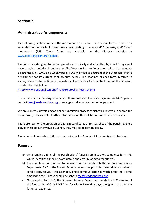#### **Section 2**

#### **Administrative Arrangements**

The following sections outline the movement of fees and the relevant forms. There is a separate form for each of these three areas, relating to funerals (PF1), marriages (PF2) and monuments (PF3). These forms are available on the Diocesan website at [www.leeds.anglican.org/f](http://www.leeds.anglican.org/)inance.

The forms are designed to be completed electronically and submitted by email. They can if necessary, be printed and sent by post. The Diocesan Finance Department will make payments electronically by BACS on a weekly basis. PCCs will need to ensure that the Diocesan Finance department has its current bank account details. The headings of each form, referred to above, relate to the sections of the national Fees Table which can be found on the Diocesan website. See link below.

<http://www.leeds.anglican.org/finance/parochial-fees-scheme>

If you bank with a building society, and therefore cannot receive payment via BACS, please contact [fees@leeds.anglican.org](mailto:fees@leeds.anglican.org) to arrange an alternative method of payment.

We are currently developing an online submission process, which will allow you to submit the form through our website. Further information on this will be confirmed when available.

There are fees for the provision of baptism certificates or for searches of the parish registers but, as these do not involve a DBF fee, they may be dealt with locally.

There now follows a description of the protocols for Funerals, Monuments and Marriages.

#### **Funerals**

- a) On arranging a funeral, the parish priest/ funeral administrator, completes form PF1, which identifies all the relevant details and costs relating to the funeral.
- b) The completed form is then to be sent from the parish to both the Diocesan Finance Department AND to the Funeral Director as soon as possible. It would be advisable to send a copy to your treasurer too. Email communication is much preferred. Forms emailed to the Diocese should be sent to [fees@leeds.anglican.org](mailto:fees@leeds.anglican.org)
- c) On receipt of form PF1, the Diocesan Finance Department sends the PCC element of the fees to the PCC by BACS Transfer within 7 working days, along with the element for travel expenses.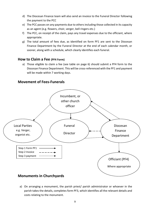- d) The Diocesan Finance team will also send an invoice to the Funeral Director following the payment to the PCC
- e) The PCC passes on any payments due to others including those collected in its capacity as an agent (e.g. flowers, choir, verger, bell ringers etc.)
- f) The PCC, on receipt of the claim, pays any travel expenses due to the officiant, where appropriate.
- g) The total amount of fees due, as identified on form PF1 are sent to the Diocesan Finance Department by the Funeral Director at the end of each calendar month, or sooner, along with a schedule, which clearly identifies each funeral.

#### **How to Claim a Fee (PF4 Form)**

a) Those eligible to claim a fee (see table on page 6) should submit a PF4 form to the Diocesan Finance Department. This will be cross-referenced with the PF1 and payment will be made within 7 working days.

#### **Movement of Fees-Funerals**



a) On arranging a monument, the parish priest/ parish administrator or whoever in the parish takes the details, completes form PF3, which identifies all the relevant details and costs relating to the monument.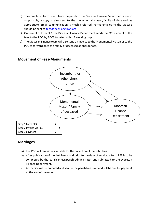- b) The completed form is sent from the parish to the Diocesan Finance Department as soon as possible, a copy is also sent to the monumental mason/family of deceased as appropriate. Email communication is much preferred. Forms emailed to the Diocese should be sent to [fees@leeds.anglican.org](mailto:fees@leeds.anglican.org)
- c) On receipt of form PF3, the Diocesan Finance Department sends the PCC element of the fees to the PCC, by BACS transfer within 7 working days.
- d) The Diocesan Finance team will also send an invoice to the Monumental Mason or to the PCC to forward onto the family of deceased as appropriate.



#### **Movement of Fees-Monuments**

#### **Marriages**

- a) The PCC will remain responsible for the collection of the total fees.
- b) After publication of the first Banns and prior to the date of service, a form PF2 is to be completed by the parish priest/parish administrator and submitted to the Diocesan Finance Department.
- c) An invoice will be prepared and sent to the parish treasurer and will be due for payment at the end of the month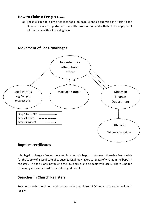#### **How to Claim a Fee (PF4 Form)**

a) Those eligible to claim a fee (see table on page 6) should submit a PF4 form to the Diocesan Finance Department. This will be cross-referenced with the PF1 and payment will be made within 7 working days.



#### **Movement of Fees-Marriages**

#### **Baptism certificates**

It is illegal to charge a fee for the administration of a baptism. However, there is a fee payable for the supply of a certificate of baptism (a legal-looking exact replica of what is in the baptism register). This fee is only payable to the PCC and so is to be dealt with locally. There is no fee for issuing a souvenir card to parents or godparents.

#### **Searches in Church Registers**

Fees for searches in church registers are only payable to a PCC and so are to be dealt with locally.